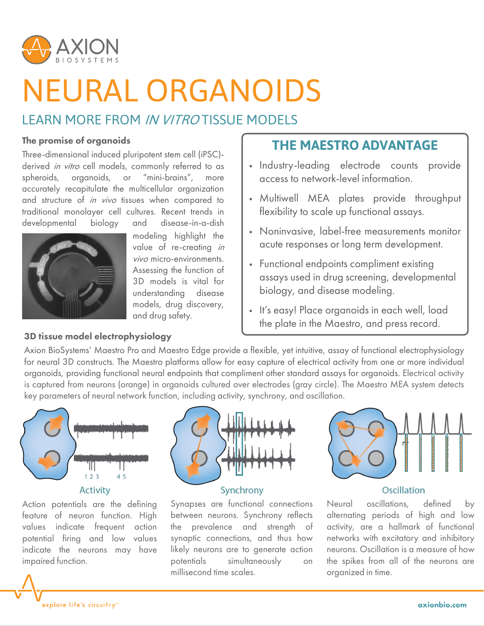

# NEURAL ORGANOIDS

## LEARN MORE FROM IN VITRO TISSUE MODELS

## The promise of organoids

Three-dimensional induced pluripotent stem cell (iPSC) derived in vitro cell models, commonly referred to as spheroids, organoids, or "mini-brains", more accurately recapitulate the multicellular organization and structure of *in vivo* tissues when compared to traditional monolayer cell cultures. Recent trends in developmental biology and disease-in-a-dish



modeling modeling highlight the value of re-creating in vivo micro-environments. Assessing the function of 3D models is vital for understanding disease models, drug discovery, and drug safety.

### 3D tissue model electrophysiology

## **THE MAESTRO ADVANTAGE**

- Industry-leading electrode counts provide access to network-level information.
- Multiwell MEA plates provide throughput flexibility to scale up functional assays.
- Noninvasive, label-free measurements monitor acute responses or long term development.
- Functional endpoints compliment existing assays used in drug screening, developmental biology, and disease modeling.
- It's easy! Place organoids in each well, load the plate in the Maestro, and press record.

Axion BioSystems' Maestro Pro and Maestro Edge provide a flexible, yet intuitive, assay of functional electrophysiology for neural 3D constructs. The Maestro platforms allow for easy capture of electrical activity from one or more individual organoids, providing functional neural endpoints that compliment other standard assays for organoids. Electrical activity is captured from neurons (orange) in organoids cultured over electrodes (gray circle). The Maestro MEA system detects key parameters of neural network function, including activity, synchrony, and oscillation.



Action potentials are the defining feature of neuron function. High values indicate frequent action potential firing and low values indicate the neurons may have impaired function.



#### Synchrony

Synapses are functional connections between neurons. Synchrony reflects the prevalence and strength of synaptic connections, and thus how likely neurons are to generate action potentials simultaneously on millisecond time scales.



### Oscillation

Neural oscillations, defined by alternating periods of high and low activity, are a hallmark of functional networks with excitatory and inhibitory neurons. Oscillation is a measure of how the spikes from all of the neurons are organized in time.